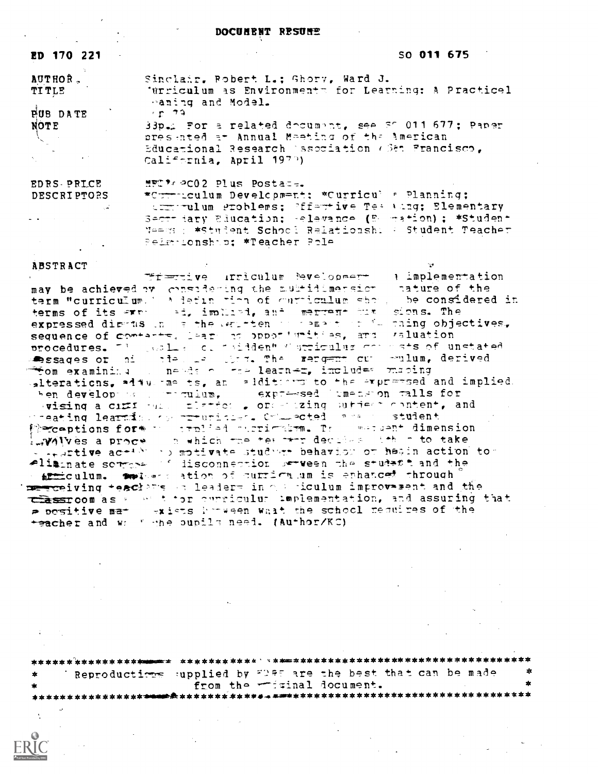#### DOCUMENT RESUME

| ED 170 221                         | SO 011 675<br>and the state of the state of the                           |
|------------------------------------|---------------------------------------------------------------------------|
| <b>AUTHOR.</b>                     | Sinclair, Robert L.; Ghory, Ward J.                                       |
| <b>TITLE</b>                       | 'Urriculum as Environments for Learning: A Practicel<br>waning and Model. |
| <b>PUB DATE</b>                    | $\sim$ n $\sim$ 19.                                                       |
| <b>NOTE</b>                        | BB. For a related document, see 50 011 677; Paper                         |
| $\mathcal{X} \subset \mathcal{X}$  | presented at Annual Masting of the American                               |
| $\alpha$ and $\alpha$ and $\alpha$ | Educational Research (ssociation (Set Francisco,                          |
| and the state of the state         | California, April 1970)                                                   |
| EDRS PRICE                         | MFC 74 PC02 Plus Postace.                                                 |
| <b>DESCRIPTORS</b>                 | *Curriculum Development: *Curricul # Planning;                            |
|                                    | transmulum groblems; ?ffartive Tes (tag; Blementary)                      |
|                                    | Secttiary Education; Relevance (E mation); *Student                       |

Relationship; \*Teacher Role

Maess : \*Student School Relationsh: : Student Teacher

### **ABSTRACT**

Tf=tive inficulum @velopmer - } implementation may be achieved by considering the multidimension anature of the term would be considered in terms of its express and immitted, and mergene hus sions. The expressed dimens in a the entitien in emaint in ill maing objectives. procedures. The sales of midden" "striculus commats of unstated essages or his the less than the rengent or sulum, derived **Fom examinina** mends of the learner, includes maping alterations, adducing ts, and alditions to the expressed and implied. hen developes a company and the season fails for the developes and the company of the season fails for meating learning remunicies. Comported are in student firecoptions form we trulied must make the manuscript dimension E.Wilves a proce. In which the terms are decided that to take - engrtive ac-400 to motivate studyer behavior or heads action to eliminate sorrors of disconnection serveen the student and the s armiculum. Textues ation of curriculum is enhances through me ceiving teachers on leaders in our piculum improverent and the these compases are to the correleviation and assuring that positive mat weists hoween what the school nequires of the teacher and we finde pupils need. (Author/KC)

Reproductions supplied by FDRE are the best that can be made from the -frinal document.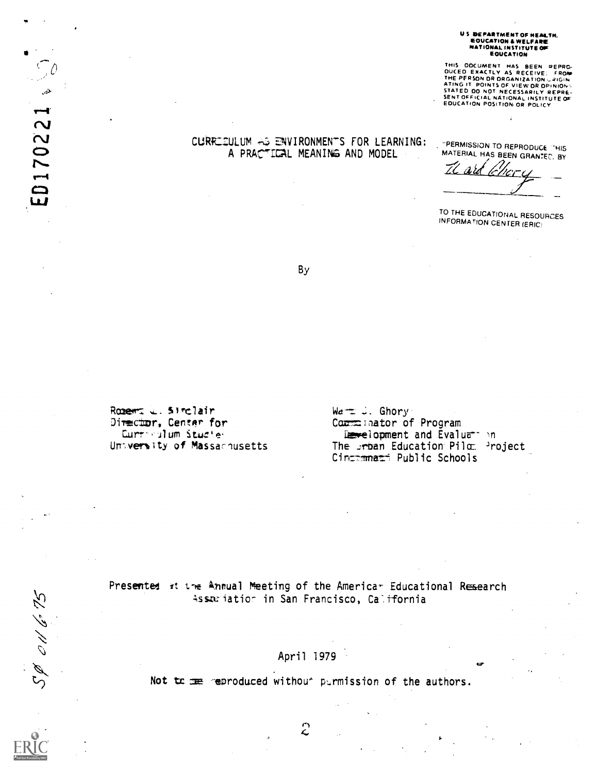# US DEPARTMENT OF HEALTH.<br>EOUCATION & WELFARE<br>NATIONAL INSTITUTE OF EQUCATION

THIS DOCUMENT HAS BEEN REPRO-<br>DUCED EXACTLY AS RECEIVE: FROM<br>THE PERSON DR DRGANIZATION JRIGIN<br>ATING IT POINTS OF VIEW OR OPINION-<br>STATED DO NOT NECESSARILY REPRE-<br>SENT OFFICIAL NATIONAL INSTITUTE OF<br>EDUCATION POSITION OR

## CURRICULUM AS ENVIRONMENTS FOR LEARNING: A PRACTICAL MEANING AND MODEL

"PERMISSION TO REPRODUCE "HIS MATERIAL HAS BEEN GRANTED. BY  $a$ rd  $\mathbb{Z}^{\prime}$ 

TO THE EDUCATIONAL RESOURCES **INFORMATION CENTER (ERIC)** 

By

Rozert L. Strclair Director, Center for Curriculum Studies University of Massachusetts

D

عثير

ED170221

SP 011675

 $Wa = L$ . Ghory Communator of Program Levelopment and Evaluar in The srban Education Pilo: Project Cincimmati Public Schools

Presented it the Annual Meeting of the Americar Educational Research Assariation in San Francisco, California

April 1979

Not to me reproduced without permission of the authors.

 $\hat{c}$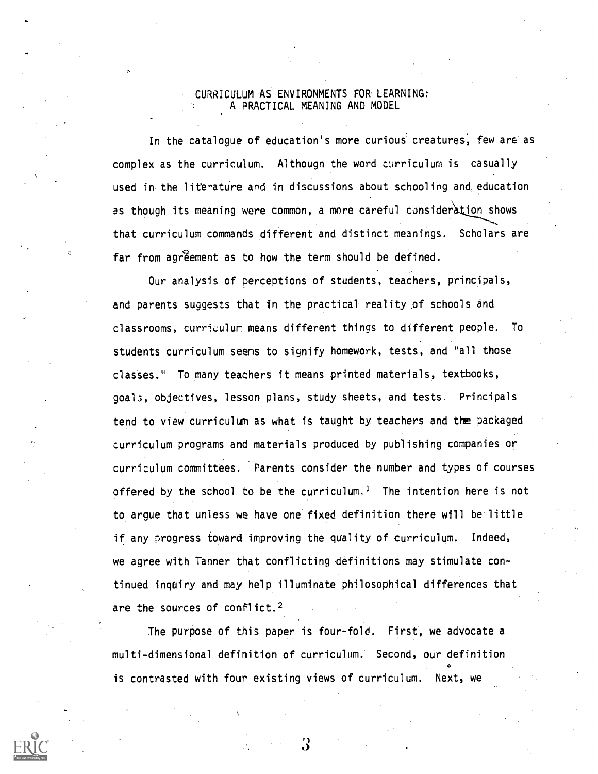## CURRICULUM AS ENVIRONMENTS FOR LEARNING: A PRACTICAL MEANING AND MODEL

In the catalogue of education's more curious creatures, few are as complex as the curriculum. Althougn the word curriculum is casually used in the literature and in discussions about schooling and education as though its meaning were common, a more careful consideration shows that curriculum commands different and distinct meanings. Scholars are far from agreement as to how the term should be defined.

Our analysis of perceptions of students, teachers, principals, and parents suggests that in the practical reality of schools and classrooms, curriculum means different things to different people. To students curriculum seens to signify homework, tests, and "all those classes." To many teachers it means printed materials, textbooks, goa15, objectives, lesson plans, study sheets, and tests. Principals tend to view curriculum as what is taught by teachers and the packaged curriculum programs and materials produced by publishing companies or curriculum committees. Parents consider the number and types of courses offered by the school to be the curriculum.<sup>1</sup> The intention here is not to argue that unless we have one fixed definition there will be little if any progress toward improving the quality of curriculum. Indeed, we agree with Tanner that conflicting-definitions may stimulate continued inquiry and may help illuminate philosophical differences that are the sources of conflict.2

The purpose of this paper is four-fold. First, we advocate a multi-dimensional definition of curriculum. Second, our definition  $\bullet$  and a set of  $\bullet$ is contrasted with four existing views of curriculum. Next, we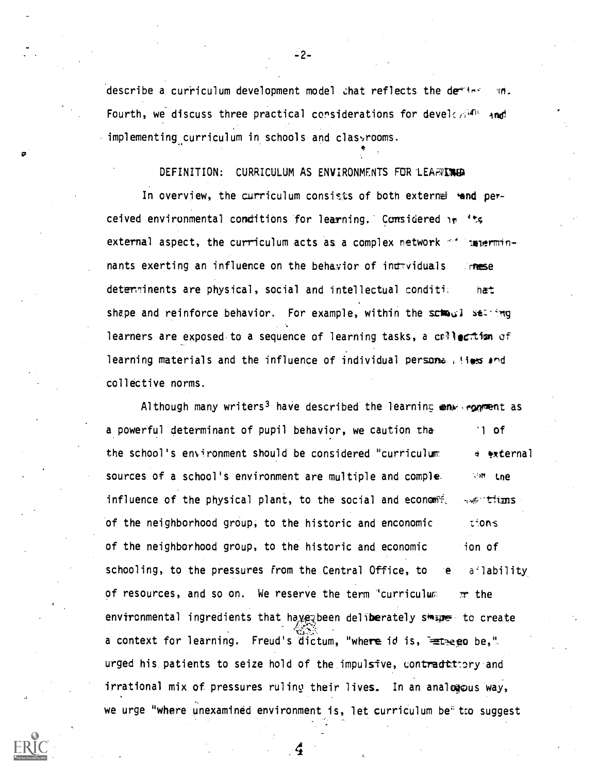describe a curriculum development model that reflects the detion îń. Fourth, we discuss three practical considerations for develogions and implementing curriculum in schools and classrooms.

## DEFINITION: CURRICULUM AS ENVIRONMENTS FOR LEARING

In overview, the curriculum consists of both externed and perceived environmental conditions for learning. Considered in 'ts external aspect, the curriculum acts as a complex network  $+$  $n = r$ nants exerting an influence on the behavior of indeviduals **mese** determinents are physical, social and intellectual condition ha<sup>+</sup> shape and reinforce behavior. For example, within the school setting learners are exposed to a sequence of learning tasks, a collection of learning materials and the influence of individual persona (sies and collective norms.

Although many writers<sup>3</sup> have described the learning  $env$  equation as a powerful determinant of pupil behavior, we caution tha  $1$  of the school's environment should be considered "curriculum a external sources of a school's environment are multiple and comple. **Abit Lne** influence of the physical plant, to the social and economit. we tims of the neighborhood group, to the historic and enconomic tions. of the neighborhood group, to the historic and economic ion of schooling, to the pressures from the Central Office, to ailability of resources, and so on. We reserve the term "curriculum  $\pi$  the environmental ingredients that have been deliberately stage to create a context for learning. Freud's dictum, "where id is, Eteego be," urged his patients to seize hold of the impulsive, contraditery and irrational mix of pressures ruling their lives. In an analogous way, we urge "where unexamined environment is, let curriculum be" tro suggest

 $-2-$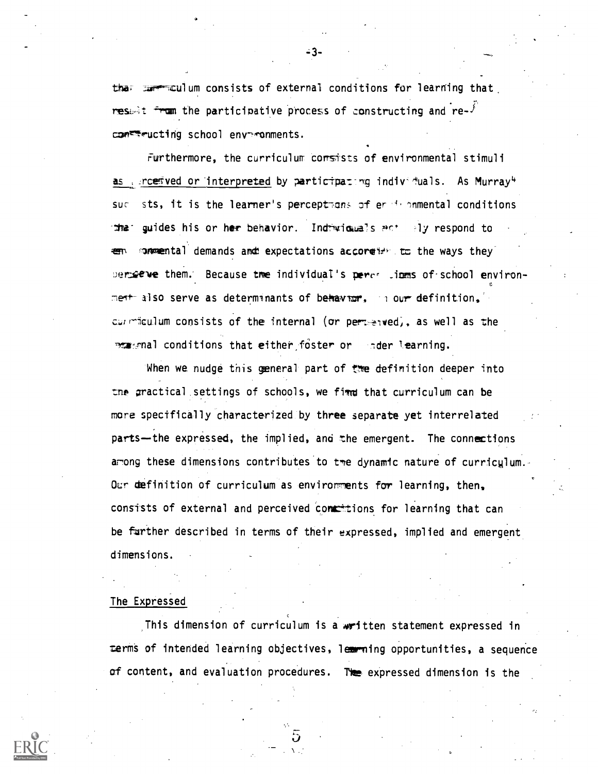the commentual um consists of external conditions for learning that restaint from the participative process of constructing and re- $\mathcal{F}$ concrete school enveronments.

Furthermore, the curriculum corsists of environmental stimuli as uncetived or interpreted by participating individuals. As Murray<sup>4</sup> sts, it is the learner's perceptmens of er deparated conditions  $SUC$ guides his or her behavior. Indiwiduals act aly respond to  $\mathbf{m}$ concretion demands and expectations according to the ways they berogene them. Because the individual's perce limms of school environmeth also serve as determinants of behavior, in our definition, curmiculum consists of the internal (or permenwed), as well as the port and conditions that either foster or ander learning.

When we nudge this general part of the definition deeper into the gractical settings of schools, we fimme that curriculum can be more specifically characterized by three separate yet interrelated parts-the expressed, the implied, and the emergent. The connections among these dimensions contributes to tme dynamic nature of curriculum. Our definition of curriculum as environments for learning, then. consists of external and perceived contentions for learning that can be further described in terms of their expressed, implied and emergent dimensions.

### The Expressed

This dimension of curriculum is a written statement expressed in terms of intended learning objectives, learning opportunities, a sequence of content, and evaluation procedures. The expressed dimension is the



- 3-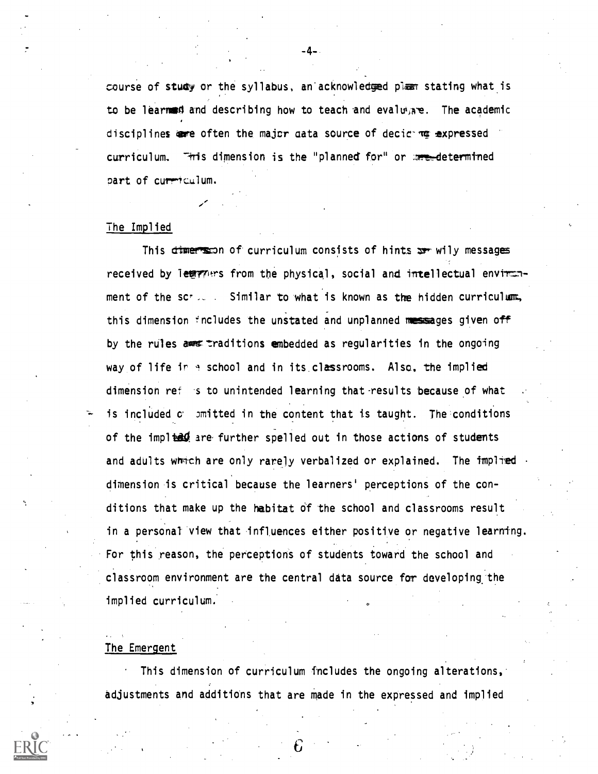course of study or the syllabus, an acknowledged plan stating what is to be learned and describing how to teach and evaluate. The academic disciplines are often the major aata source of decir ma expressed curriculum. This dimension is the "planned for" or are determined part of curriculum.

### The Implied

This dimers on of curriculum consists of hints  $x$ - wily messages received by lewrners from the physical, social and intellectual environment of the scr.  $\therefore$  Similar to what is known as the hidden curriculum. this dimension includes the unstated and unplanned messages given off by the rules asset traditions embedded as regularities in the ongoing way of life in 4 school and in its classrooms. Also, the implied dimension ref is to unintended learning that results because of what is included  $c$  )mitted in the content that is taught. The conditions of the implied are further spelled out in those actions of students and adults which are only rarely verbalized or explained. The implied dimension is critical because the learners' perceptions of the conditions that make up the habitat of the school and classrooms result in a personal view that influences either positive or negative learning. For this reason, the perceptions of students toward the school and classroom environment are the central data source for developing the implied curriculum..

### The Emergent

This dimension of curriculum fincludes the ongoing alterations, adjustments and additions that are made in the expressed and implied

-4-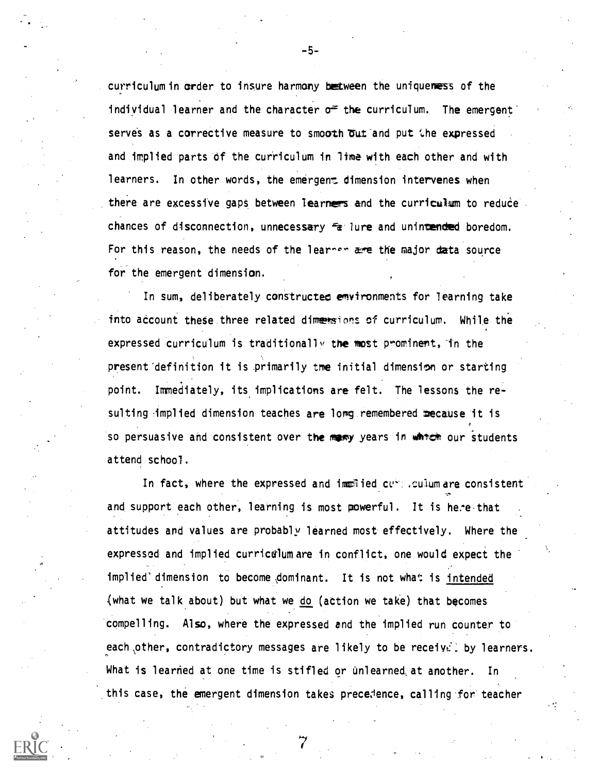curriculum in order to insure harmony between the uniqueness of the individual learner and the character  $\sigma^{\#}$  the curriculum. The emergent serves as a corrective measure to smooth out and put the expressed and implied parts of the curriculum in lime with each other and with learners. In other words, the emergent dimension intervenes when there are excessive gaps between learners and the curriculum to reduce. chances of disconnection, unnecessary failure and unintended boredom. For this reason, the needs of the learner are the major data source for the emergent dimension.

In sum, deliberately constructed environments for learning take into account these three related dimessions of curriculum. While the expressed curriculum is traditionally the most prominent, in the present definition it is primarily tme initial dimension or starting point. Immediately, its implications are felt. The lessons the resulting implied dimension teaches are long remembered mecause it is so persuasive and consistent over the many years in which our students attend school.

In fact, where the expressed and immetied curreculum are consistent and support each other, learning is most powerful. It is here that attitudes and values are probably learned most effectively. Where the expressed and implied curriculum are in conflict, one would expect the implied' dimension to become dominant. It is not what is intended (what we talk about) but what we do (action we take) that becomes compelling. Also, where the expressed and the implied run counter to each other, contradictory messages are likely to be receivel by learners. What is learned at one time is stifled or unlearned at another. In this case, the emergent dimension takes precedence, calling for teacher

-5-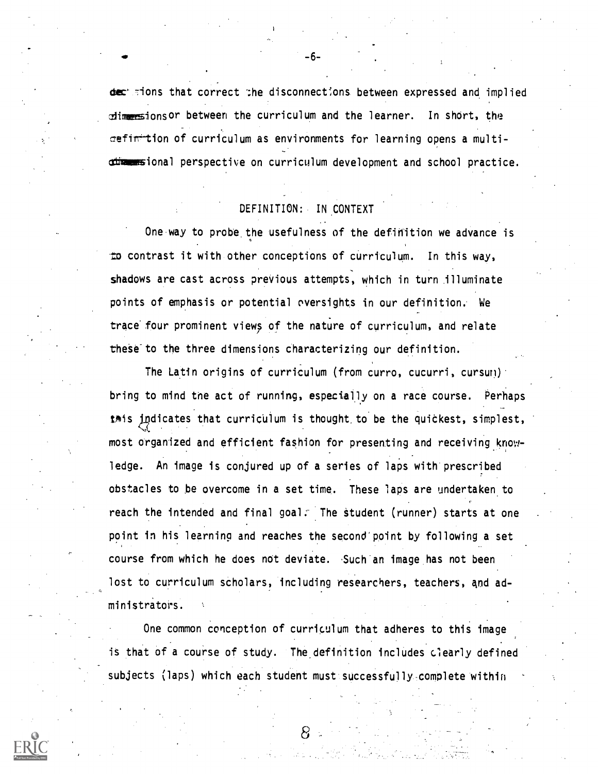dec' sions that correct the disconnections between expressed and implied dimensionsor between the curriculum and the learner. In short, the cefintion of curriculum as environments for learning opens a multidimensional perspective on curriculum development and school practice.

## DEFINITION: IN CONTEXT

One way to probe the usefulness of the definition we advance is to contrast it with other conceptions of curriculum. In this way, shadows are cast across previous attempts, which in turn illuminate points of emphasis or potential oversights in our definition. We trace four prominent views of the nature of curriculum, and relate these to the three dimensions characterizing our definition.

The Latin origins of curriculum (from curro, cucurri, cursuri) bring to mind tne act of running, especially on a race course. Perhaps twis indicates that curriculum is thought to be the quickest, simplest, most organized and efficient fashion for presenting and receiving knowledge. An image is conjured up of a series of laps with prescribed obstacles to be overcome in a set time. These laps are undertaken to reach the intended and final goal. The student (runner) starts at one point in his learning and reaches the second'point by following a set course from which he does not deviate. 'Such an image has not been lost to curriculum scholars, including researchers, teachers, and administrators.

One common conception of curriculum that adheres to this image is that of a course of study. The definition includes clearly defined subjects (laps) which each student must successfully complete within

 $-6-$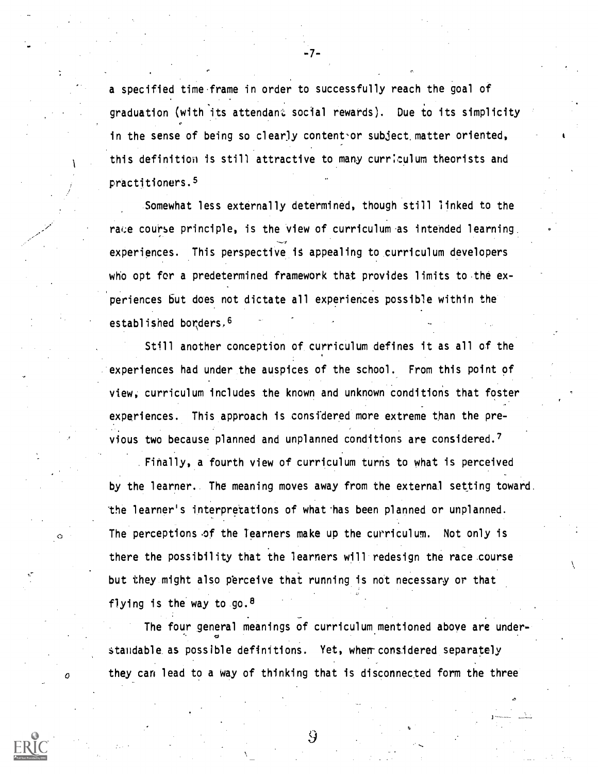a specified time frame in order to successfully reach the goal of graduation (with its attendant social rewards). Due to its simplicity in the sense of being so clearly content-or subject, matter oriented, this definition is still attractive to many curriculum theorists and practitioners.8

-7-

.Somewhat less externally determined, though still linked to the race course principle, is the view of curriculum as intended learning. experiences. This perspective it appealing to curriculum developers who opt for a predetermined framework that provides limits to the experiences but does not dictate all experiences possible within the established borders, 6

Still another conception of curriculum defines it as all of the experiences had under the auspices of the school. From this point of view, curriculum includes the known and unknown conditions that foster experiences. This approach is considered more extreme than the previous two because planned and unplanned conditions are considered.<sup>7</sup>

Finally, a fourth view of curriculum turns to what is perceived by the learner. The meaning moves away from the external setting toward. the learner's interpretations of what has been planned or unplanned. The perceptions of the learners make up the curriculum. Not only is there the possibility that the learners will redesign the race course but they might also perceive that running is not necessary or that flying is the way to go.  $8$ 

The four general meanings of curriculum mentioned above are under- . standable as possible definitions. Yet, when considered separately they can lead to a way of thinking that is disconnected form the three

 $\mathcal{G}$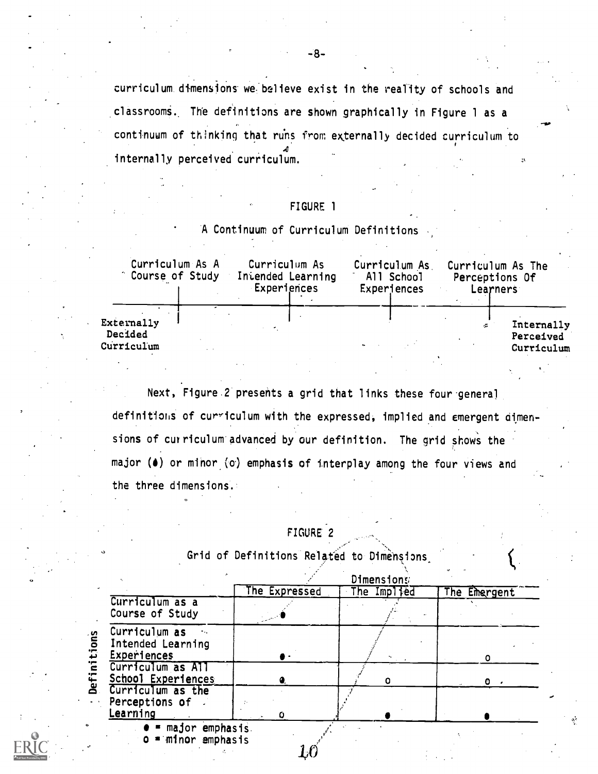curriculum dimensions we believe exist in the reality of schools and .classrooms., The definitions are shown graphically in Figure 1 as a continuum of thinking that runs from externally decided curriculum to internally perceived curriculum.

## FIGURE 1

## A Continuum of Curriculum Definitions

| Curriculum As A<br>Course of Study  | Curriculum As<br>Intended Learning<br>Experiences |  | Curriculum As<br>All School<br>Experiences | Curriculum As The<br>Perceptions Of<br>Learners |
|-------------------------------------|---------------------------------------------------|--|--------------------------------------------|-------------------------------------------------|
| Externally<br>Decided<br>Curriculum |                                                   |  |                                            | Internally<br>Perceived<br>Curriculum           |

za di secolo di secolo di secolo di secolo di secolo di secolo di secolo di secolo di secolo di secolo di secolo di secolo di secolo di secolo di secolo di secolo di secolo di secolo di secolo di secolo di secolo di secolo

Next, Figure 2 presents a grid that links these four general

definitions of curriculum with the expressed, implied and emergent dimensions of curriculum advanced by our definition. The grid shows the major (4) or minor (o) emphasis of interplay among the four views and the three dimensions.'

## FIGURE 2

Grid of Definitions Related to Dimensions

|                                                          | Dimensions    |             |              |  |  |  |
|----------------------------------------------------------|---------------|-------------|--------------|--|--|--|
|                                                          | The Expressed | The Implied | The Emergent |  |  |  |
| Curriculum as a<br>Course of Study                       |               |             |              |  |  |  |
| Curriculum as<br>Intended Learning<br><b>Experiences</b> |               | ۰.          |              |  |  |  |
| Curriculum as All<br>School Experiences                  |               |             |              |  |  |  |
| Curriculum as the<br>Perceptions of<br>Learning          | O             |             |              |  |  |  |
| $\bullet$ = major emphasis.<br>$o = m1$ nor emphasis     |               |             |              |  |  |  |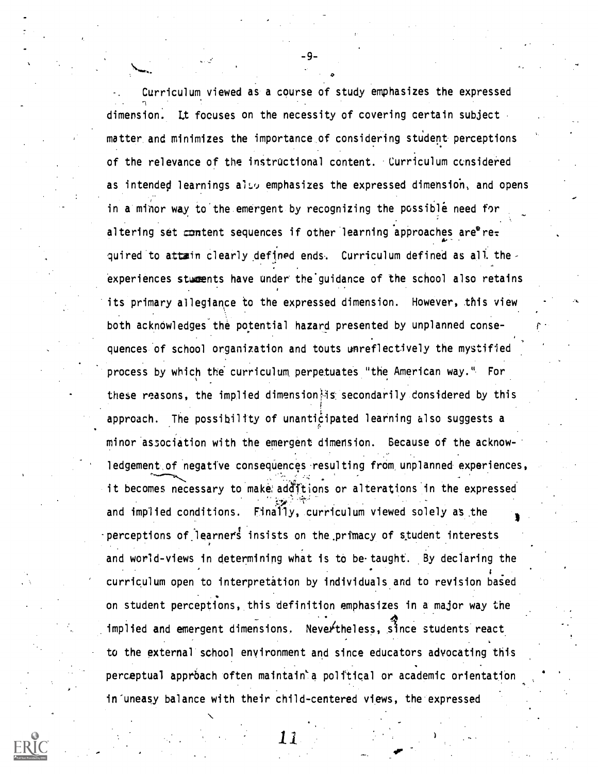Curriculum viewed as a course of study emphasizes the expressed dimension: Lt focuses on the necessity of covering certain subject matter. and minimizes the importance.of considering student perceptions of the relevance of the instructional content. Curriculum considered as intended learnings also emphasizes the expressed dimension, and opens in a'minor way to'the emergent by recognizing the possible need for altering set content sequences if other learning approaches are  $re_{\tau}$  $\mathbf{A}$ quired to attain clearly defined ends. Curriculum defined as all theexperiences stweents have under the'guidance of the school also retains its primary allegiance to the expressed dimension. However, this view both acknowledges the potential hazard presented by unplanned consequences of school organization and touts unreflectively the mystified process by which the curriculum. perpetuates "the American way.". For these reasons, the implied dimensionlis secondarily considered by this approach. The possibility of unanticipated learning also suggests a minor association with the emergent dimension. Because of the acknowledgement of negative consequences resulting from unplanned experiences, it becomes necessary to make additions or alterations in the expressed and implied conditions. Finally, curriculum viewed solely as the  $\qquad \qquad$ perceptions of learners insists on the primacy of student interests and world-views in determining what is to be taught. By declaring the curriculum open to interpretation by individuals and to revision based on student perceptions, this definition emphasizes in a major way the implied and emergent dimensions. Nevertheless, since students react 4 to the external school environment and since educators advocating this perceptual apprbach often maintain`a political or academic orientation in uneasy balance with their child-centered views, the expressed

-9-

1.1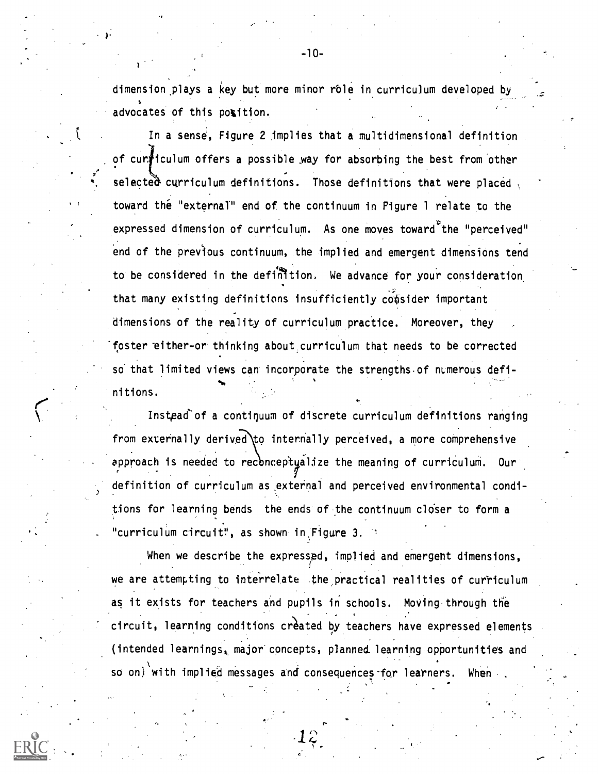dimension plays a key but more minor role in curriculum developed by advocates of this position.

In a sense, Figure 2 implies that a multidimensional definition of cunficulum offers a possible way for absorbing the best from other selecte $\alpha$  curriculum definitions. Those definitions that were placed toward the "external" end of the continuum in Pigure 1 relate to the expressed dimension of curriculum. As one moves toward the "perceived" end of the previous continuum, the implied and emergent dimensions tend to be considered in the definition. We advance for your consideration that many existing definitions insufficiently consider important dimensions of the reality of curriculum practice. Moreover, they foster either-or thinking about curriculum that needs to be corrected so that limited views can incorporate the strengths of numerous definitions.

Instead of a continuum of discrete curriculum definitions ranging approach is needed to reconceptyalize the meaning of curriculum. Our from externally derived to internally perceived, a more comprehensive definition of curriculum as external and perceived environmental conditions for learning bends the ends of the continuum closer to form a "curriculum circuit", as shown in Figure 3.

 $\mathbf{r}_{\text{max}}$ 

. 47

When we describe the expressed, implied and emergent dimensions, We are attempting to interrelate the practical realities of curriculum as it exists for teachers and pupils in schools. Moving through the circuit, learning conditions created by teachers have expressed elements (intended learnings, major concepts, planned learning opportunities and so on) with implied messages and consequences for learners. When

C

-10-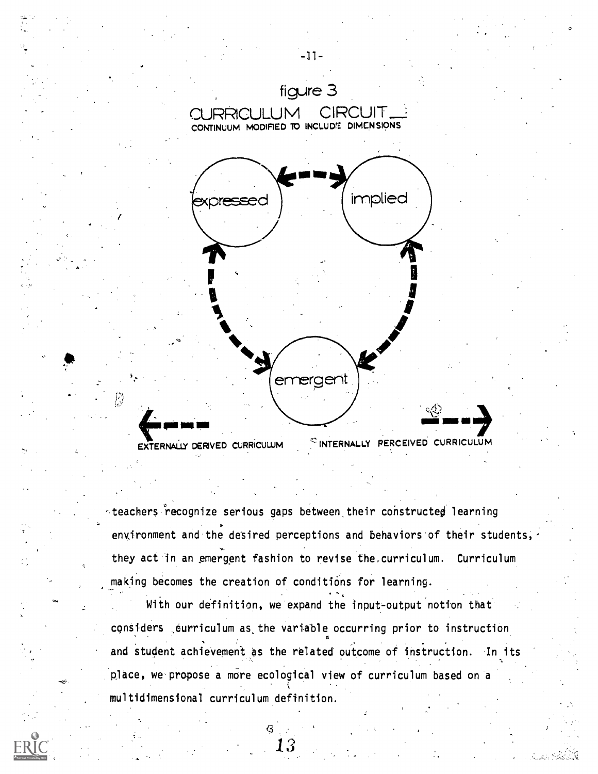

teachers recognize serious gaps between their constructed learning . environment and the desired perceptions and behaviors of their students,  $\gamma$ they act in an emergent fashion to revise the curriculum. Curriculum making becomes the creation of conditions for learning.

With our definition, we expand the input-output notion that considers curriculum as, the variable occurring prior to instruction and student achievement as the related outcome of instruction. In its place, we propose a more ecological view of curriculum based on a multidimensional curriculum definition.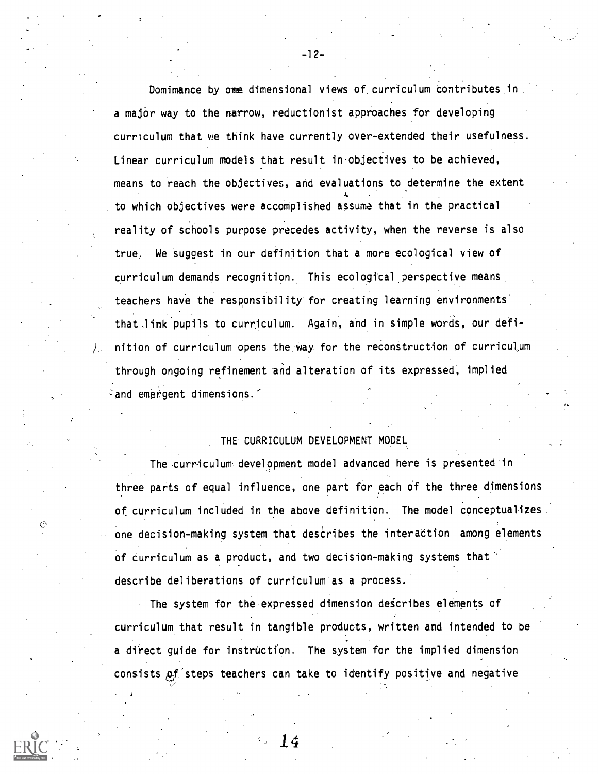Domimance by one dimensional views of curriculum contributes in a major way to the narrow, reductionist approaches for developing curriculum that we think have currently over-extended their usefulness. Linear curriculum models that result in objectives to be achieved, means to reach the objectives, and evaluations to determine the extent 4 to which objectives were accomplished assume that in the practical reality of schools purpose precedes activity, when the reverse is also true. We suggest in our definition that a more ecological view of curriculum demands recognition. This ecological perspective means, teachers have the responsibility for creating learning environments' that link pupils to curriculum. Again, and in simple words, our definition of curriculum opens the way for the reconstruction of curriculum through ongoing refinement and alteration of its expressed, implied  $\delta$  and emergent dimensions.

-12-

## THE CURRICULUM DEVELOPMENT MODEL

The curriculum development model advanced here is presented in three parts of equal influence, one part for each of the three dimensions of curriculum included in the above definition. The model conceptualizes one decision-making system that describes the interaction among elements of curriculum as a product, and two decision-making systems that' describe deliberations of curriculum as a process.

The system for the expressed dimension describes elements of curriculum that result in tangible products, written and intended to be a direct guide for instruction. The system for the implied dimension consists of steps teachers can take to identify positive and negative

14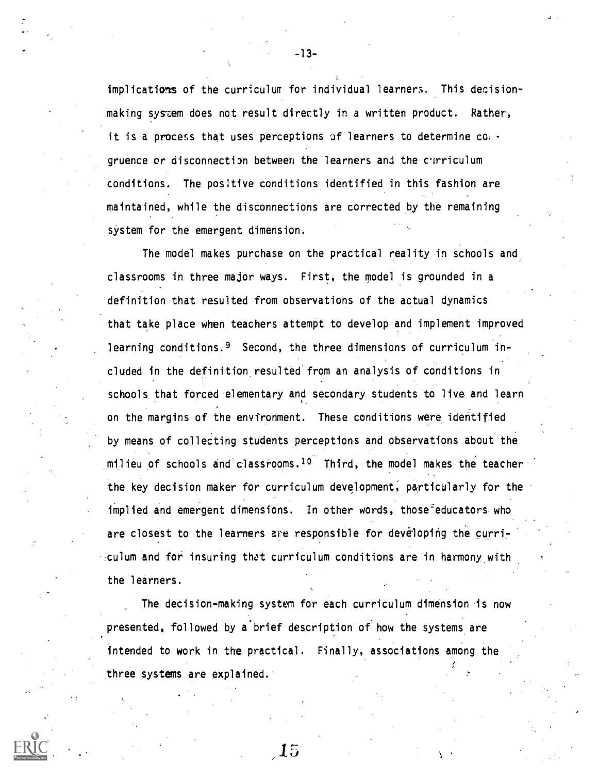implications of the curriculum for individual learners. This decisionmaking system does not result directly in a written product. Rather, it is a process that uses perceptions of learners to determine co, gruence or disconnection between the learners and the clrriculum conditions. The positive conditions identified in this fashion are maintained, while the disconnections are corrected by the remaining system for the emergent dimension.

The model makes purchase on the practical reality in schools and classrooms in three major ways. First, the model is grounded in a definition that resulted from observations of the actual dynamics that take place when teachers attempt to develop and implement improved learning conditions.<sup>9</sup> Second, the three dimensions of curriculum included in the definition resulted from an analysis of conditions in schools that forced elementary and secondary students to live and learn on the margins of the environment. These conditions were identified by means of collecting students perceptions and observations about the milieu of schools and classrooms.<sup>10</sup> Third, the model makes the teacher the key decision maker for curriculum development, particularly for the implied and emergent dimensions. In other words, those educators who are closest to the learners are responsible for developing the curriculum and for insuring that curriculum conditions are in harmony with the learners.

The decision-making system for each curriculum dimension is now presented, followed by a'brief description of how the systems are intended to work in the practical. Finally, associations among the three systems are explained.

15

-13-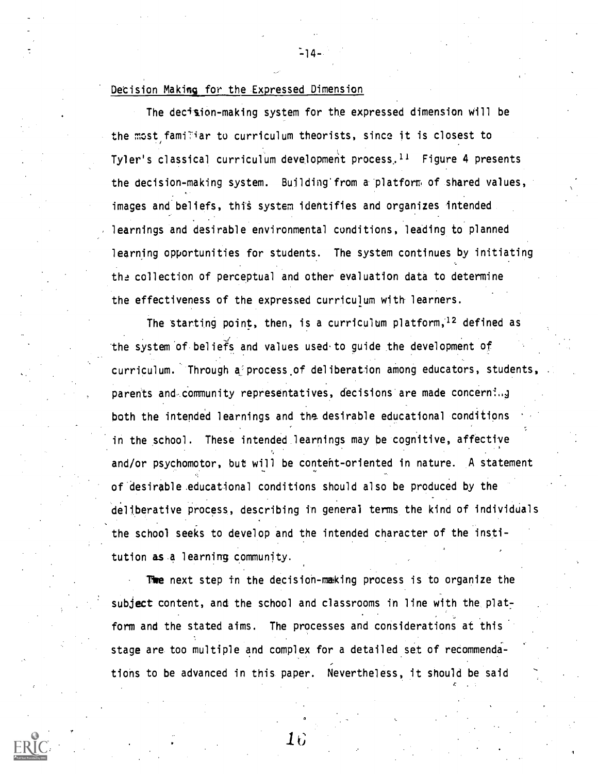## Decision Making for the Expressed Dimension

The decision-making system for the expressed dimension will be the most familiar to curriculum theorists, since it is closest to Tyler's classical curriculum development process.<sup>11</sup> Figure 4 presents the decision-making system. Building from a platform of shared values, images and beliefs, this system identifies and organizes intended learnings and desirable environmental conditions, leading to planned learning opportunities for students. The system continues by initiating the collection of perceptual and other evaluation data to determine the effectiveness of the expressed curriculum with learners.

The starting point, then, is a curriculum platform,  $12$  defined as the system of beliefs and values used.to guide the development of curriculum. Through a process of deliberation among educators, students parents and community representatives, decisions are made concerning both the intended learnings and the desirable educational conditions in the school. These intended learnings may be cognitive, affective and/or psychomotor, but will be content-oriented in nature. A statement of desirable educational conditions should also be produced by the deliberative process, describing in general terms the kind of individuals the school seeks to develop and the intended character of the institution as a learning community.

The next step in the decision-making process is to organize the subject content, and the school and classrooms in line with the platform and the stated aims. The processes and considerations at this stage are too multiple and complex for a detailed set of recommendations to be advanced in this paper. Nevertheless, it should be said

 $16\,$ 

r.



 $-14-$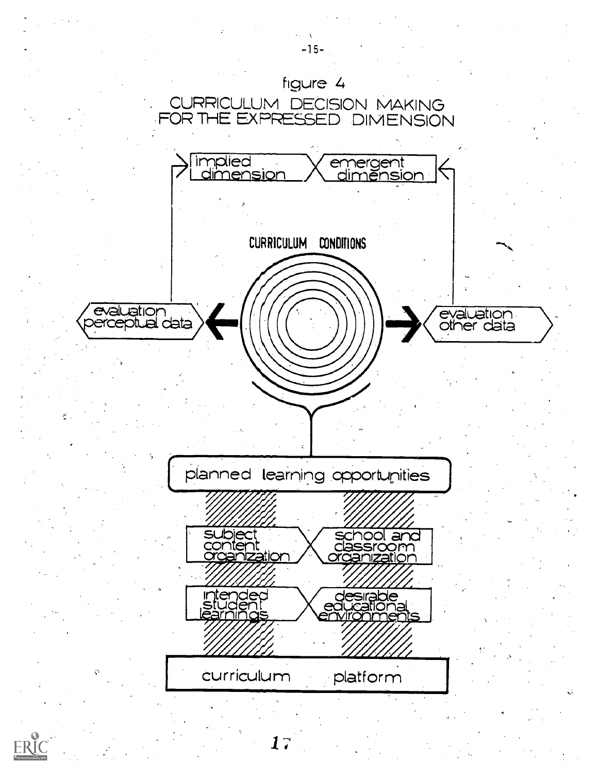

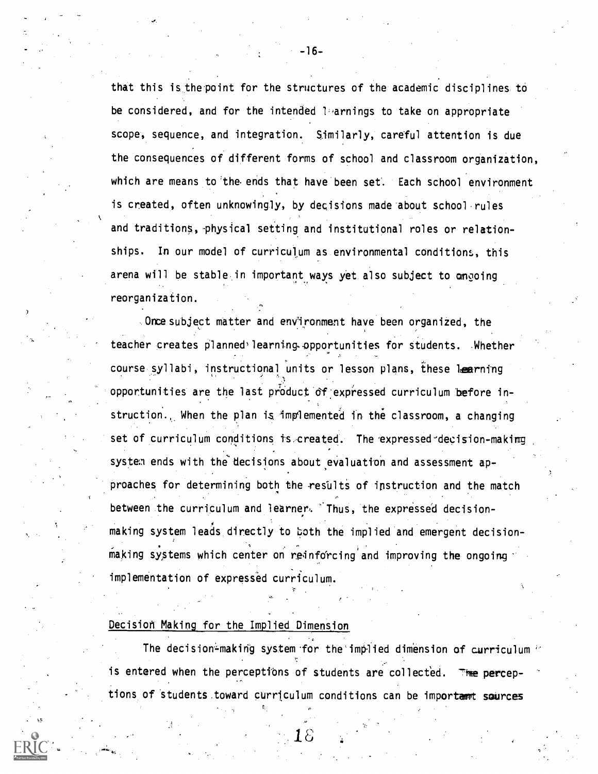that this is the point for the structures of the academic disciplines to be considered, and for the intended 1-arnings to take on appropriate scope, sequence, and integration. Similarly, careful attention is due the consequences of different forms of school and classroom organization, which are means to the ends that have been set. Each school environment is created, often unknowingly, by decisions made about school rules and traditions, physical setting and institutional roles or relationships. In our model of curriculum as environmental conditions, this arena will be stable in important ways yet also subject to ongoing reorganization.

Once subject matter and environment have been organized, the teacher creates planned<sup>3</sup> learning opportunities for students. Whether course syllabi, instructional units or lesson plans, these learning opportunities are the last product df:expressed curriculum 'before instruction., When the plan is implemented in the classroom, a changing set of curriculum conditions is-created. The expressed'decision-making systen ends with the decisions about evaluation and assessment approaches for determining both the results of instruction and the match between the curriculum and learner. Thus, the expressed decision making system leads directly to both the implied and emergent decisionmaking systems which center on reinforcing and improving the ongoing implementation of expressed curriculum.

## Decision Making for the Implied Dimension

The decision-making system for the implied dimension of curriculum  $\leq$ is entered when the perceptions of students are collected. The perceptions of students toward curriculum conditions can be important sources

-16-

 $18\,$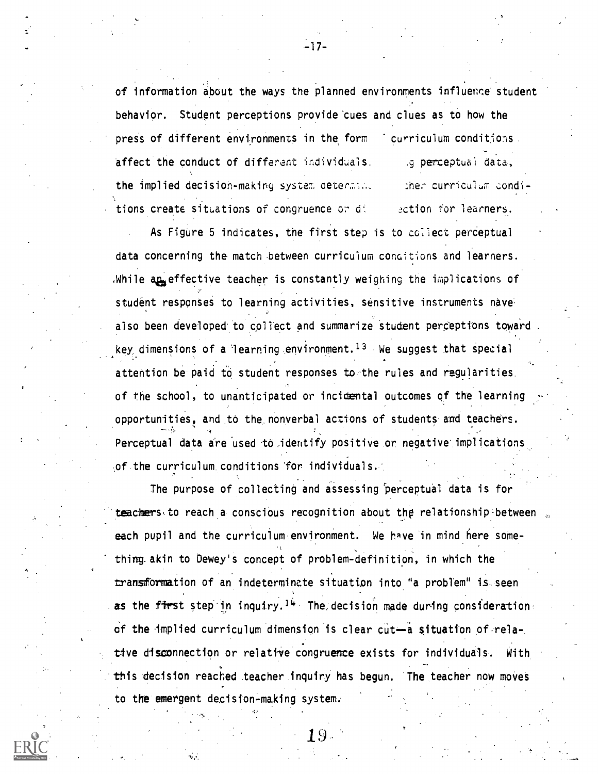of information about the ways the planned environments influence' student behavior. Student perceptions provide cues and clues as to how the press of different environments in the form of curriculum conditions. affect the conduct of different individuals. the implied decision-making system determing tions create situations of congruence or di g perceptual data, :ther curriculum condi-2ction for learners.

As Figure 5 indicates, the first step is to collect perceptual data concerning the match between curriculum conoit'ions and learners. .While ap<sub>se</sub> effective teacher is constantly weighing the implications of student responses to learning activities, sensitive instruments nave also been developed to collect and summarize student perceptions toward key dimensions of a learning environment.<sup>13</sup> We suggest that special attention be paid to student responses to the rules and regularities. of the school, to unanticipated or incidental outcomes of the learning opportunities, and to the nonverbal actions of students and teachers. Perceptual data are used to identify positive or negative implications of.the curriculum. conditions for individuals..

The purpose of collecting and assessing 'perceptual data is for teachers to reach a conscious recognition about the relationship between each pupil and the curriculum environment. We have in mind here something akin to Dewey's concept of problem-definition, in which the transformation of an indeterminate situation into "a problem" is-seen as the first step in inquiry.<sup>14</sup> The decision made during consideration of the implied curriculum dimension is clear cut-a situation of relative disconnection or relative congruence exists for individuals. With this decision reached teacher inquiry has begun. The teacher now moves to the emergent decision-making system.

-17-

19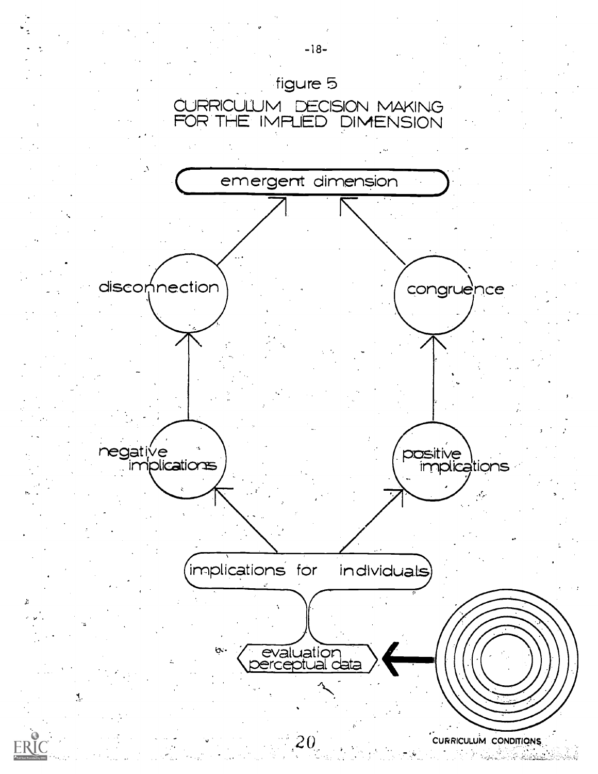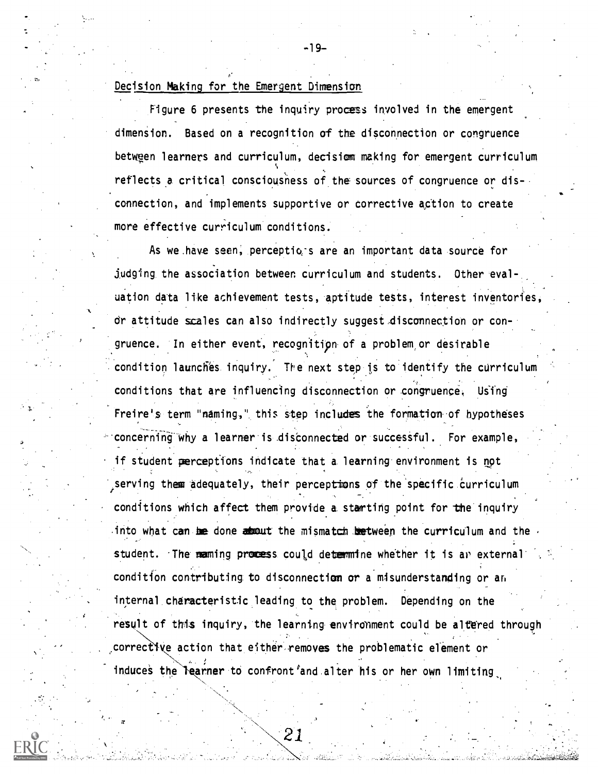## Decision Making for the Emergent Dimension

Figure 6 presents the inquiry process involved in the emergent dimension. Based on a recognition of the disconnection or congruence between learners and curriculum, decision making for emergent curriculum reflects a critical consciousness of the sources of congruence or dis- , connection, and implements supportive or corrective action to create more effective curriculum conditions.

As we have seen, perceptions are an important data source for judging the association between curriculum and students. Other eval-. uation data like achievement tests, aptitude tests, interest inventories, dr attitude scales can also indirectly suggest,disconnection or congruence. In either event, recognition of a problem or desirable condition launches inquiry. The next step is to identify the curriculum conditions that are influencing disconnection or congruence. Using Freire's term "naming," this step includes the formation of hypotheses  $\sim$  concerning why a learner is disconnected or successful. For example, if student perceptions indicate that a learning environment is not serving them adequately, their perceptions of the specific curriculum conditions which affect them provide a starting point for the inquiry into what can be done  $d$  about the mismatch between the curriculum and the student. The maming process could determine whether it is an external condition contributing to disconnection or a misunderstanding or an internal characteristic leading to the problem. Depending on the result of this inquiry, the learning environment could be altered through corrective action that either removes the problematic element or induces the learner to confront and alter his or her own limiting

-19-

21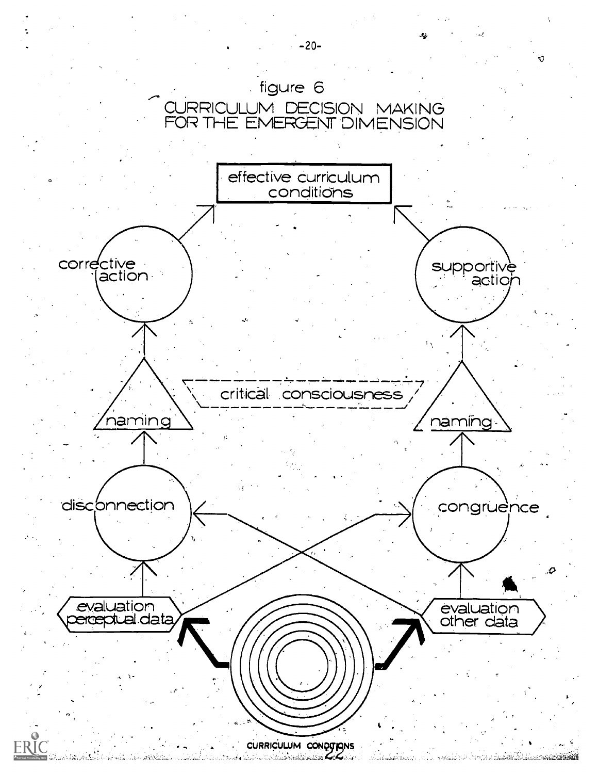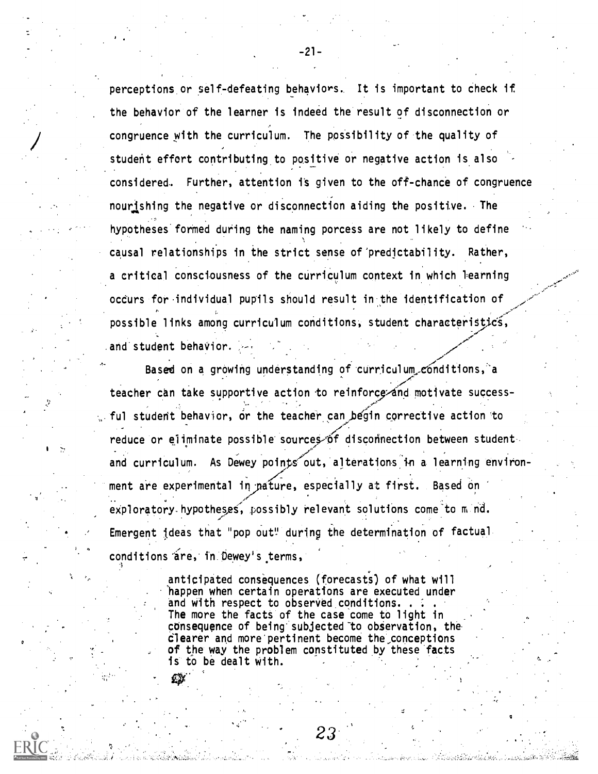perceptions or self-defeating behaviors. It is important to check if the behavior of the learner is indeed the result of disconnection or congruence with the curriculum. The possibility of the quality of student effort contributing to positive or negative action is also considered. Further, attention is given to the off-chance of congruence nourishing the negative or disconnection aiding the positive. The hypotheses formed during the naming porcess are not likely to define causal relationships in the strict sense of'predictability. Rather, a critical consciousness of the curriculum context in which learning occurs for individual pupils should result in the identification of possible links among curriculum conditions, student characteristics, and student behavior.

Based on a growing understanding of curriculum conditions, a teacher can take supportive action to reinforce-and motivate success-, and the same of the same of the same of the same of the same of the same of the same of the same of the same of the same of the same of the same of the same of the same of the same of the same of the same of the same of ful student behavior, or the teacher can begin corrective action to reduce or eliminate possible sources of disconnection between studentand curriculum. As Dewey points out, alterations in a learning environment are experimental in pature, especially at first. Based on exploratory hypotheses, possibly relevant solutions come to  $m$  nd. ,- Emergent ideas that "pop out" during the determination of factual conditions are, in Dewey's terms,

> anticipated consequences (forecasts) of what will 'happen when certain operations are executed under and with respect to observed conditions.  $\ldots$ The more the facts of the case come to light in consequence of being' subjected -to observation, the clearer and more pertinent become the conceptions of the way the problem constituted by these facts is to be dealt with.

> > $2\mathfrak{Z}$

-21-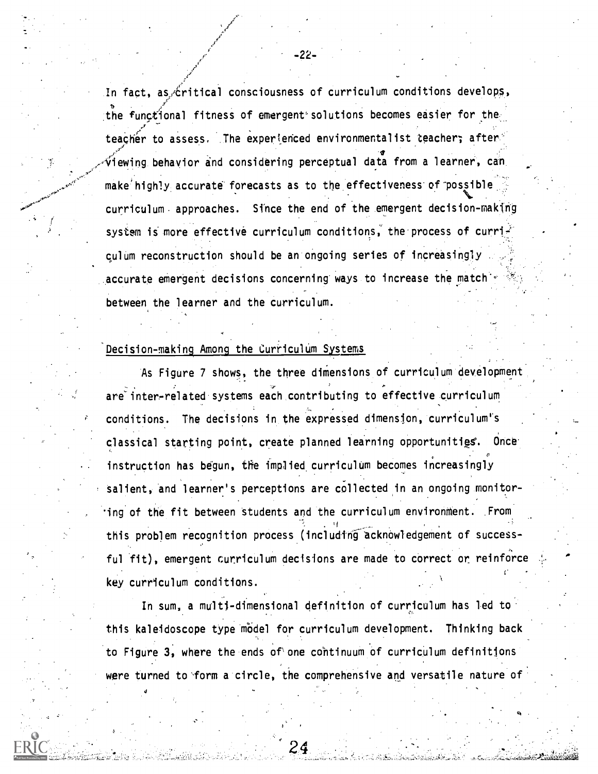In fact, as critical consciousness of curriculum conditions develops, the functional fitness of emergent'solutions becomes easier for the. teacher to assess. The experienced environmentalist teacher; after  $\check{\mathsf{v}}$ iewing behavior and considering perceptual data from a learner, can make highly accurate forecasts as to the effectiveness of possible curriculum. approaches. Since the end of the emergent decision-making system is more effective curriculum conditions, the process of curriculum reconstruction should be an ongoing series of increasingly accurate emergent decisions concerning ways to increase the match's between the learner and the curriculum.

## Decision-making Among the Curriculum Systems

As Figure 7 shows, the three dimensions of curriculum development are inter-related systems each contributing to effective curriculum conditions. The decisions in the expressed dimension, curriculum's classical starting point, create planned learning opportunities. Once instruction has begun, the implied curriculum becomes increasingly salient, and learner's perceptions are collected in an ongoing monitor-'ing of the fit between students and the curriculum environment. From this problem recognition process (including acknowledgement of successful fit), emergent curriculum decisions are made to correct or reinforce key curriculum conditions.

In sum, a multi-dimensional definition of curriculum has led to this kaleidoscope type model for curriculum development. Thinking back to Figure 3, where the ends of'one continuum of curriculum definitions were turned to form a circle, the comprehensive and versatile nature of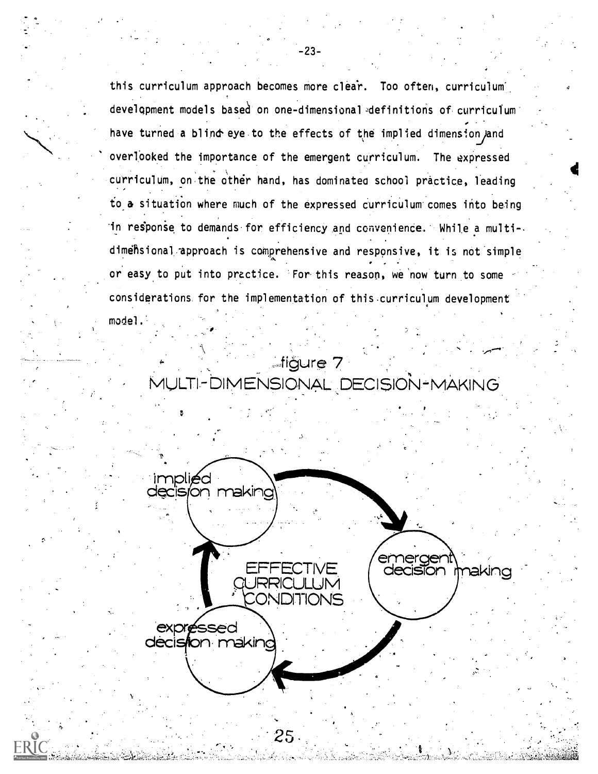this curriculum approach becomes more clear. Too often, curriculum development models based on one-dimensional definitions of curriculum have turned a blind eye to the effects of the implied dimension and overlooked the importance of the emergent curriculum. The expressed curriculum, on the other hand, has dominated school practice, leading to a situation where much of the expressed curriculum comes into being in response to demands for efficiency and convenience. While a multidimensional approach is comprehensive and responsive, it is not simple or easy to put into practice. For this reason, we now turn to some considerations for the implementation of this curriculum development

**Aligure 7** MULTI-DIMENSIONAL DECISION-MAKING

model.



 $-23-$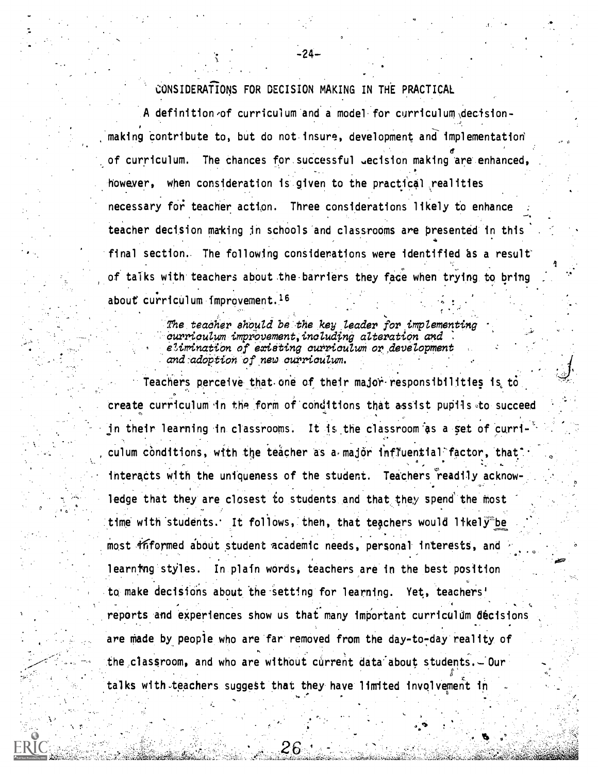CONSIDERATIONS FOR DECISION MAKING IN THE PRACTICAL

-24-

A definition-of curriculum and a model for curriculum  $\det$ making contribute to, but do notinsure, development and implementation 6 of curriculum. The chances for successful gecision making are enhanced, however, when consideration is given to the practical realities necessary for teacher action. Three considerations likely to enhance teacher decision making in schools and classrooms are presented in this final section. The following considerations were identified as a result of talks with teachers about the.barriers they face when trying to bring about curriculum improvement.<sup>16</sup>

> The teacher should be the key leader for implementing curriculum improvement, including alteration and elimination of existing curriculum or development and-adoption of new curriculum.

Teachers perceive that. one of their majoi-responsibilities is to create curriculum in the form of conditions that assist pupils to succeed in their learning in classrooms. It is.the classroom as a set of curri-  $\mathbf{c} \bullet \mathbf{c}_1$  , where  $\mathbf{c} \bullet \mathbf{c}_2$ culum conditions, with the teacher as a major influential factor, that 0 interacts with the uniqueness of the student. Teachers readily acknowledge that they are closest to students and that they spend the most time with students. It follows, then, that teachers would likely<sup>the</sup> most friformed about student academic needs, personal interests, and learning styles. In plain words, teachers are in the best position to make decisions about the setting for learning. Yet, teachers' reports and experiences show us that many important curriculum decisions are made by people who are far removed from the day-to-day reality of the classroom, and who are without current data about students.- Our talks with teachers suggest that they have limited involvement in

26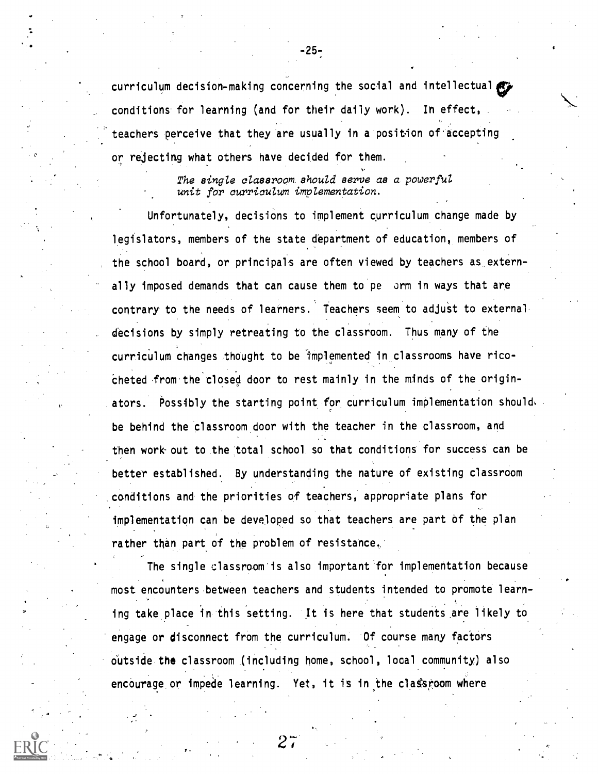curriculum decision-making concerning the social and intellectual conditions for learning (and for their daily work). In effect, teachers perceive that they are usually in a position of accepting or rejecting what others have decided for them.

> The single classroom should serve as a powerful unit for curriculum implementation.

Unfortunately, decisions to implement curriculum change made by legislators, members of the state department of education, members of the school board, or principals are often viewed by teachers as externally imposed demands that can cause them to pe orm in ways that are contrary to the needs of learners. Teachers seem to adjust to external decisions by simply retreating to the classroom. Thus many of the curriculum changes thought to be Implemented in classrooms have ricocheted from.the closed door to rest mainly in the minds of the originators. Possibly the starting point for curriculum implementation should, be behind the classroom door with the teacher in the classroom, and then work-out to the total school so that conditions for success can be better established. By understanding the nature of existing classroom conditions and the priorities of teachers, appropriate plans for implementation can be developed so that teachers are part of the plan rather than part of the problem of resistance.

The single classroom is also important for implementation because most encounters between teachers and students intended to promote learning take place in this setting. It is here that students are likely to engage or disconnect from the curriculum. Of course many factors outside the classroom (including home, school, local community) also . . encourage or impede learning. Yet, it is in the classroom where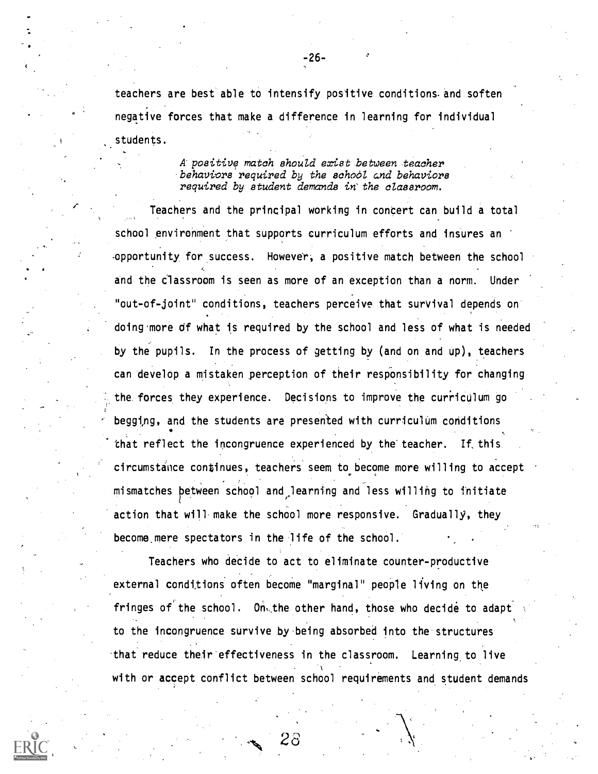teachers are best able to intensify positive conditions and soften negative forces that make a difference in learning for individual students.

> A positive match should exist between teacher behaviors required by the school and behaviors required by student demands in'the classroom.

Teachers and the principal working in concert can build a total school environment that supports curriculum efforts and insures an -opportunity for success. However, a positive match between the school and the Classroom is seen as more of an exception than a norm. Under "out-of-joint" conditions, teachers perceive that survival depends on doing more of what is required by the school and less of what is needed by the pupils. In the process of getting by (and on and up), teachers can develop a mistaken perception of their responsibility for changing the forces they experience. Decisions to improve the curriculum go begging, and the students are presented with curriculum conditions that reflect the incongruence experienced by the-teacher. If, this circumstance continues, teachers seem to become more willing to accept , mismatches between school and learning and less willing to initiate action that will make the school more responsive. Gradually, they become mere spectators in the life of the school.

Teachers who decide to act to eliminate counter-productive external conditions often become "marginal" people living on the fringes of the school. On, the other hand, those who decide to adapt to the incongruence survive by.being absorbed into the structures -that reduce their effectiveness in the classroom. Learning, to live with or accept conflict between school requirements and student demands

 $\sim 28$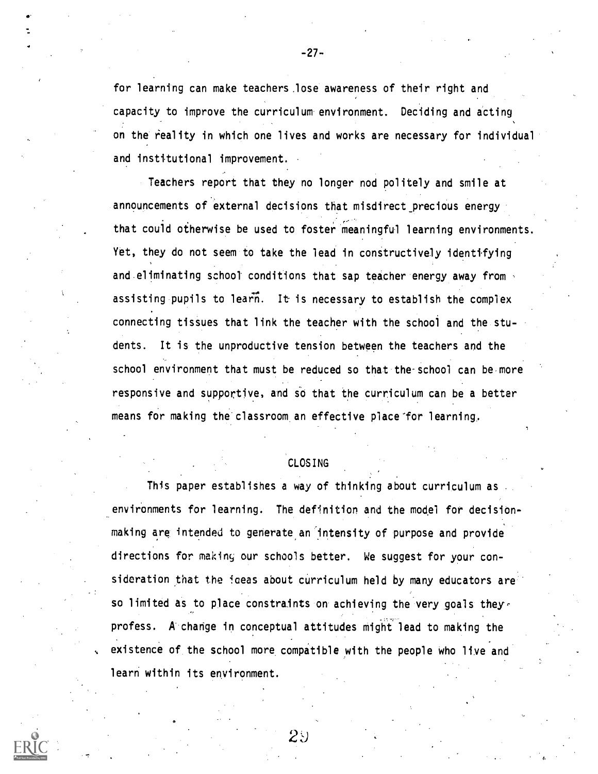for learning can make teachers.lose awareness of their right and capacity to improve the curriculum environment. Deciding and acting on the reality in which one lives and works are necessary for individual and institutional improvement.

Teachers report that they no longer nod politely and smile at announcements of external decisions that misdirect\_precious energy that could otherwise be used to foster meaningful learning environments. Yet, they do not seem to take the lead in constructively identifying and eliminating school conditions that sap teacher energy away from assisting pupils to learn. It is necessary to establish the complex connecting tissues that link the teacher with the school and the students. It is the unproductive tension between the teachers and the school environment that must be reduced so that the-school can be more responsive and supportive, and so that the curriculum can be a better means for making the classroom an effective place'for learning.

## CLOSING

This paper establishes a way of thinking about curriculum as environments for learning. The definition and the model for decisionmaking are intended to generate an intensity of purpose and provide directions for making our schools better. We suggest for your consideration that the ideas about curriculum held by many educators are so limited as to place constraints on achieving the very goals they. profess. A change in conceptual attitudes might lead to making the existence of the school more compatible with the people who live and learn within its environment.

 $2\mathbin{\vee}$ 

-27-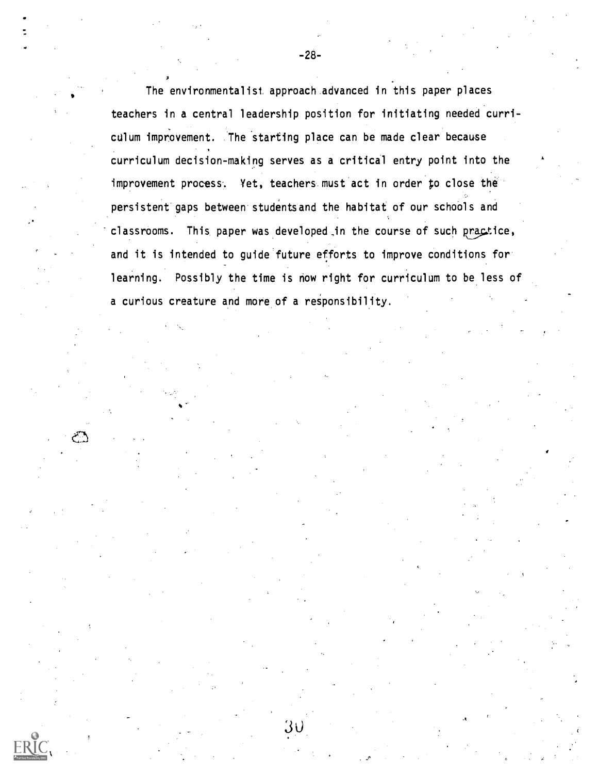The environmentalist, approach advanced in this paper places teachers in a central leadership position for initiating needed curriculum improvement. The starting place can be made clear because curriculum decision-making serves as a critical entry point into the improvement process. Yet, teachers must act in order to close the persistent gaps between studentsand the habitat of our schools and classrooms. This paper was developed in the course of such practice, and it is intended to guide future efforts to improve conditions for learning. Possibly the time is now right for curriculum to be less of a curious creature and more of a responsibility.

 $30$ 

فيستعم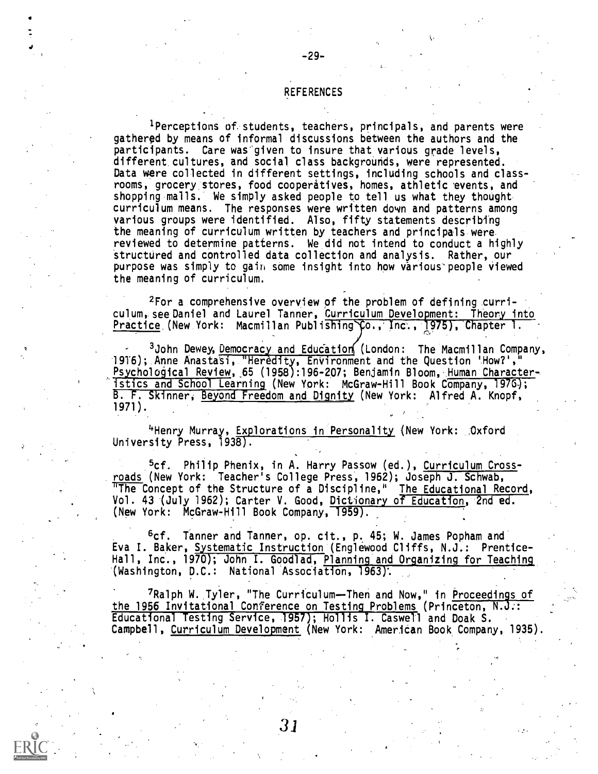## REFERENCES

'Perceptions of students, teachers, principals, and parents were gathered by means of informal discussions between the authors and the participants. Care was given to insure that various grade levels, different cultures, and social class backgrounds, were represented. Data were collected in different settings, including schools and classrooms, grocery, stores, food cooperatives, homes, athletic 'events, and shopping malls. 'We simply asked people to tell us what they thought curriculum means. The responses were written down and patterns among various groups were identified. Also, fifty statements describing the meaning of curriculum written by teachers and principals were reviewed to determine patterns. We did not intend to conduct a highly structured and controlled data collection and analysis. Rather, our purpose was simply to gain some insight into how various-people viewed the meaning of curriculum.

2For a comprehensive overview of the problem of defining curriculum, see Daniel and Laurel Tanner, Curriculum Development: Theory into Practice (New York: Macmillan Publishing  $\zeta$ o., Inc., 1975), Chapter 1.

<sup>3</sup>John Dewey, <u>Democracy and Education</u> (London: The Macmillan Company, 1916); Anne Anastati, "Heredity, EnVironment and the Question 'How?'," Psychological Review,,65 (1958):196-207; Benjamin Bloom, Human Characteristics and School Learning (New York: McGraw-Hill Book Company, 1916); B. F. Skinner, Beyond Freedom and Dignity (New York: Alfred A. Knopf, 1971).

`'Henry Murray, Explorations in Personality (New York: Oxford University Press, 1938).

5cf. Philip Phenix, in A. Harry Passow (ed.), Curriculum Crossroads (New York: Teacher's College Press, 1962); Joseph J. Schwab, The Concept of the Structure of a Discipline," The Educational Record, Vol. 43 (July 1962); Carter V. Good, Dictionary of Education, 2nd ed. (New York: McGraw-Hill Book Company, 1959).

6cf. Tanner and Tanner, op. cit., p. 45; W. James Popham and Eva I. Baker, Systematic Instruction (Englewood Cliffs, N.J.: Prentice-Hall, Inc., 1970); John I. Goodlad, Planning and Organizing for Teaching (Washington, D.C.: National Association, 1963).

7Ralph W. Tyler, "The Curriculum--Then and Now," in Proceedings of the 1956 Invitational Conference on Testing Problems (Princeton, N.J..: Educational Testing Service, 1957); Hollis I. Caswell and Doak S. Campbell, Curriculum Development (New York: American Book Company, 1935).

31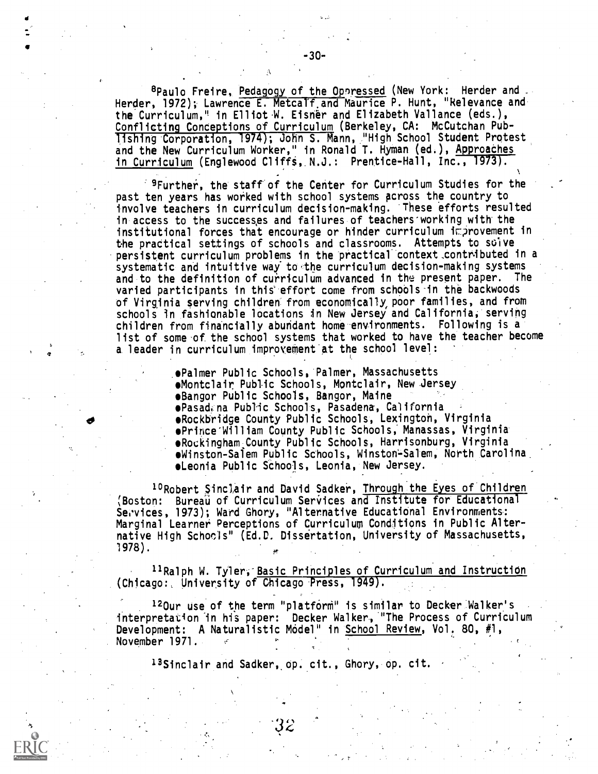<sup>8</sup>Paulo Freire, Pedago<u>gy</u> of the Oppressed (New York: Herder and . Herder, 1972); Lawrence E. MetcaTf.and Maurice P. Hunt, "Relevance and the Curriculum," in Elliot W. Eisner and Elizabeth Vallance (eds.), Conflicting Conceptions of Curriculum (Berkeley, CA: McCutchan Publishing Corporation, 1974); John S. Mann, :"High School Student Protest and the New Curriculum Worker," in Ronald T. Hyman (ed.), <u>Approaches</u> in Curriculum (Englewood Cliffs, N.J.: Prentice-Hall, Inc., 1973).

 $^{\circ}$   $^{\circ}$ Further, the staff of the Center for Curriculum Studies for the past ten years has worked with school systems across the country to involve teachers in curriculum decision-making. 'These efforts resulted in access to the successes and failures of teachers working with the institutional forces that encourage or hinder curriculum improvement in the practical settings of schools and classrooms. Attempts to solve persistent curriculum problems in the practical context contributed in a systematic and intuitive way to the curriculum decision-making systems and to the definition of curriculum advanced in the present paper. The varied participants in this effort come from schools in the backwoods of Virginia serving children' from economically, poor families, and from schools in fashionable locations in New Jersey and California; serving children from financially abundant home environments. Following is a list of some of the school systems that worked to have the teacher become a leader in curriculum improvement at the school level:

es

. Public Schools,'Palmer, Massachusetts Montclair Public Schools, Montclair, New .Jersey Bangor Public Schools, Bangor, Maine Pasad<sub>r</sub> na Public Schools, Pasadena, California  $\bullet$   $\bullet$  Rockbridge County Public Schools, Lexington, Virginia rince-William County Public Schools; Manassas, Virginia' Rockingham County Public Schools, Harrisonburg, Virginia  $\bullet$ Winston-Salem Public Schools, Winston-Salem, North Carolina. Leonia Public SChools, Leonia, New Jersey.

<sup>10</sup>Robert Sinclair and David Sadker, Through the Eyes of Children (Boston: Bureau of Curriculum Services and Institute for Educational Services, 1973); Ward Ghory, "Alternative Educational Environments: Marginal Learner Perceptions of Curriculum Conditions in Public Alternative High Schools" (Ed.D. Dissertation, University of Massachusetts, 1978).

<sup>11</sup>Ralph W. Tyler, Basic Principles of Curriculum and Instruction (Chicago:, University of Chicago Press, 1949).

<sup>12</sup>Our use of the term "platform" is similar to Decker Walker's interpretation in his paper: Decker Walker, "The Process of Curriculum Development: A Naturalistic Model" in School Review, Vol. 80, #1, November 1971.

<sup>13</sup>Sinclair and Sadker, op. cit., Ghory, op. cit.